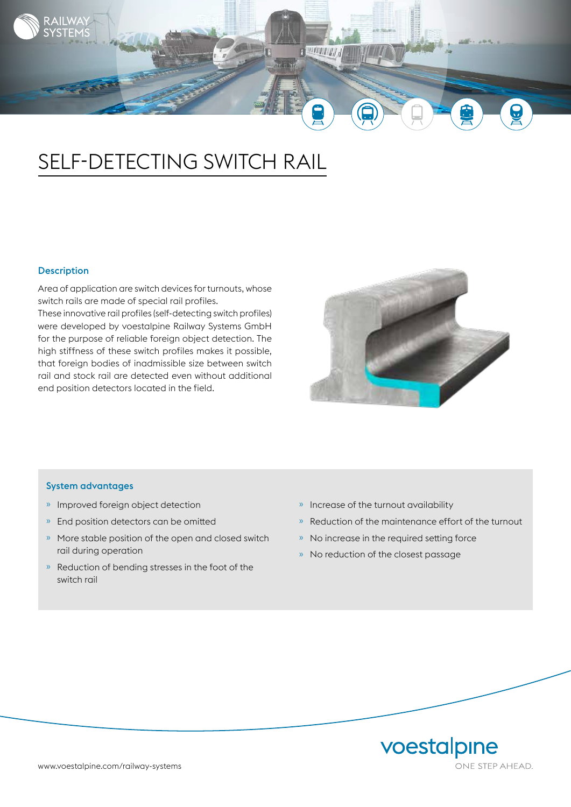

# SELF-DETECTING SWITCH RAIL

## Description

Area of application are switch devices for turnouts, whose switch rails are made of special rail profiles.

These innovative rail profiles (self-detecting switch profiles) were developed by voestalpine Railway Systems GmbH for the purpose of reliable foreign object detection. The high stiffness of these switch profiles makes it possible, that foreign bodies of inadmissible size between switch rail and stock rail are detected even without additional end position detectors located in the field.



#### System advantages

- » Improved foreign object detection
- » End position detectors can be omitted
- » More stable position of the open and closed switch rail during operation
- » Reduction of bending stresses in the foot of the switch rail
- » Increase of the turnout availability
- » Reduction of the maintenance effort of the turnout
- » No increase in the required setting force
- » No reduction of the closest passage